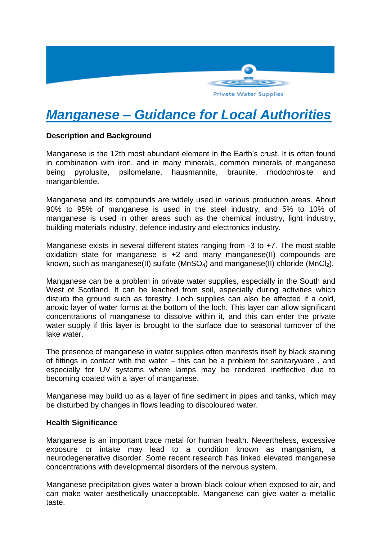

# *Manganese – Guidance for Local Authorities*

## **Description and Background**

Manganese is the 12th most abundant element in the Earth's crust. It is often found in combination with iron, and in many minerals, common minerals of manganese being pyrolusite, psilomelane, hausmannite, braunite, rhodochrosite and manganblende.

Manganese and its compounds are widely used in various production areas. About 90% to 95% of manganese is used in the steel industry, and 5% to 10% of manganese is used in other areas such as the chemical industry, light industry, building materials industry, defence industry and electronics industry.

Manganese exists in several different states ranging from -3 to +7. The most stable oxidation state for manganese is +2 and many manganese(II) compounds are known, such as manganese(II) sulfate ( $MnSO<sub>4</sub>$ ) and manganese(II) chloride ( $MnCl<sub>2</sub>$ ).

Manganese can be a problem in private water supplies, especially in the South and West of Scotland. It can be leached from soil, especially during activities which disturb the ground such as forestry. Loch supplies can also be affected if a cold, anoxic layer of water forms at the bottom of the loch. This layer can allow significant concentrations of manganese to dissolve within it, and this can enter the private water supply if this layer is brought to the surface due to seasonal turnover of the lake water.

The presence of manganese in water supplies often manifests itself by black staining of fittings in contact with the water – this can be a problem for sanitaryware , and especially for UV systems where lamps may be rendered ineffective due to becoming coated with a layer of manganese.

Manganese may build up as a layer of fine sediment in pipes and tanks, which may be disturbed by changes in flows leading to discoloured water.

## **Health Significance**

Manganese is an important trace metal for human health. Nevertheless, excessive exposure or intake may lead to a condition known as manganism, a neurodegenerative disorder. Some recent research has linked elevated manganese concentrations with developmental disorders of the nervous system.

Manganese precipitation gives water a brown-black colour when exposed to air, and can make water aesthetically unacceptable. Manganese can give water a metallic taste.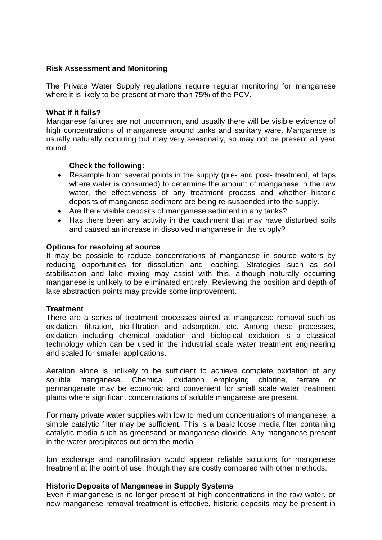#### **Risk Assessment and Monitoring**

The Private Water Supply regulations require regular monitoring for manganese where it is likely to be present at more than 75% of the PCV.

#### **What if it fails?**

Manganese failures are not uncommon, and usually there will be visible evidence of high concentrations of manganese around tanks and sanitary ware. Manganese is usually naturally occurring but may very seasonally, so may not be present all year round.

## **Check the following:**

- Resample from several points in the supply (pre- and post- treatment, at taps where water is consumed) to determine the amount of manganese in the raw water, the effectiveness of any treatment process and whether historic deposits of manganese sediment are being re-suspended into the supply.
- Are there visible deposits of manganese sediment in any tanks?
- Has there been any activity in the catchment that may have disturbed soils and caused an increase in dissolved manganese in the supply?

#### **Options for resolving at source**

It may be possible to reduce concentrations of manganese in source waters by reducing opportunities for dissolution and leaching. Strategies such as soil stabilisation and lake mixing may assist with this, although naturally occurring manganese is unlikely to be eliminated entirely. Reviewing the position and depth of lake abstraction points may provide some improvement.

## **Treatment**

There are a series of treatment processes aimed at manganese removal such as oxidation, filtration, bio-filtration and adsorption, etc. Among these processes, oxidation including chemical oxidation and biological oxidation is a classical technology which can be used in the industrial scale water treatment engineering and scaled for smaller applications.

Aeration alone is unlikely to be sufficient to achieve complete oxidation of any soluble manganese. Chemical oxidation employing chlorine, ferrate or permanganate may be economic and convenient for small scale water treatment plants where significant concentrations of soluble manganese are present.

For many private water supplies with low to medium concentrations of manganese, a simple catalytic filter may be sufficient. This is a basic loose media filter containing catalytic media such as greensand or manganese dioxide. Any manganese present in the water precipitates out onto the media

Ion exchange and nanofiltration would appear reliable solutions for manganese treatment at the point of use, though they are costly compared with other methods.

## **Historic Deposits of Manganese in Supply Systems**

Even if manganese is no longer present at high concentrations in the raw water, or new manganese removal treatment is effective, historic deposits may be present in